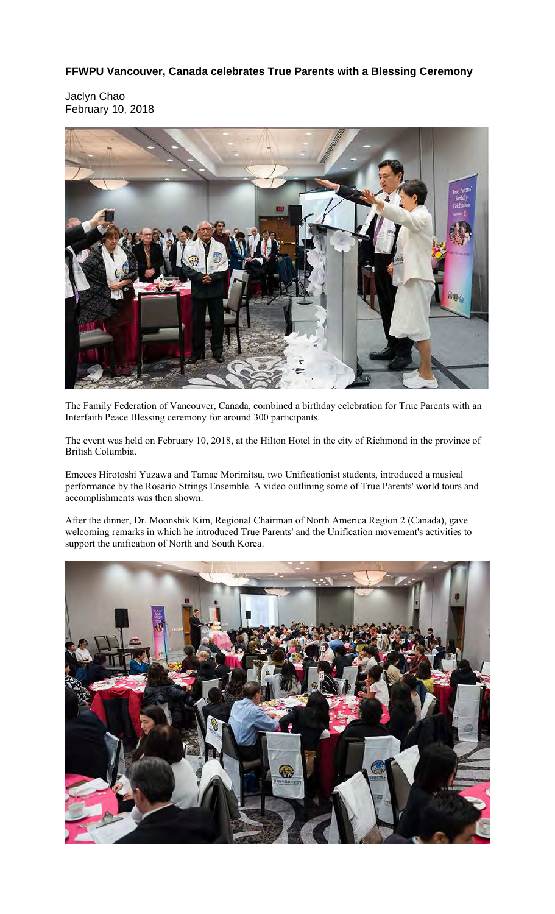**FFWPU Vancouver, Canada celebrates True Parents with a Blessing Ceremony** 

Jaclyn Chao February 10, 2018



The Family Federation of Vancouver, Canada, combined a birthday celebration for True Parents with an Interfaith Peace Blessing ceremony for around 300 participants.

The event was held on February 10, 2018, at the Hilton Hotel in the city of Richmond in the province of British Columbia.

Emcees Hirotoshi Yuzawa and Tamae Morimitsu, two Unificationist students, introduced a musical performance by the Rosario Strings Ensemble. A video outlining some of True Parents' world tours and accomplishments was then shown.

After the dinner, Dr. Moonshik Kim, Regional Chairman of North America Region 2 (Canada), gave welcoming remarks in which he introduced True Parents' and the Unification movement's activities to support the unification of North and South Korea.